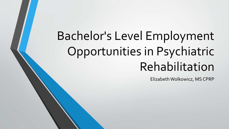# Bachelor's Level Employment Opportunities in Psychiatric Rehabilitation

Elizabeth Wolkowicz, MS CPRP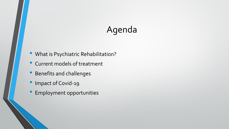# Agenda

- What is Psychiatric Rehabilitation?
- Current models of treatment
- Benefits and challenges
- Impact of Covid-19
- Employment opportunities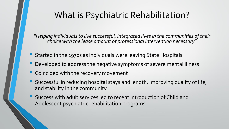### What is Psychiatric Rehabilitation?

*"Helping individuals to live successful, integrated lives in the communities of their choice with the lease amount of professional intervention necessary"*

- Started in the 1970s as individuals were leaving State Hospitals
- Developed to address the negative symptoms of severe mental illness
- Coincided with the recovery movement
- Successful in reducing hospital stays and length, improving quality of life, and stability in the community
- Success with adult services led to recent introduction of Child and Adolescent psychiatric rehabilitation programs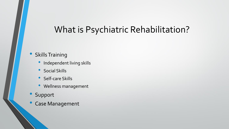#### What is Psychiatric Rehabilitation?

#### • Skills Training

- Independent living skills
- Social Skills
- Self-care Skills
- Wellness management
- **Support**
- Case Management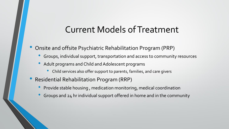#### Current Models of Treatment

- Onsite and offsite Psychiatric Rehabilitation Program (PRP)
	- Groups, individual support, transportation and access to community resources
	- Adult programs and Child and Adolescent programs
		- Child services also offer support to parents, families, and care givers
- Residential Rehabilitation Program (RRP)
	- Provide stable housing , medication monitoring, medical coordination
	- Groups and 24 hr individual support offered in home and in the community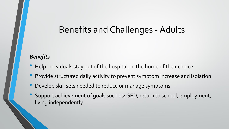#### Benefits and Challenges - Adults

#### *Benefits*

- Help individuals stay out of the hospital, in the home of their choice
- Provide structured daily activity to prevent symptom increase and isolation
- Develop skill sets needed to reduce or manage symptoms
- Support achievement of goals such as: GED, return to school, employment, living independently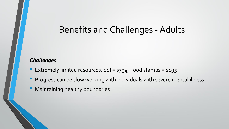#### Benefits and Challenges -Adults

#### *Challenges*

- Extremely limited resources. SSI = \$794, Food stamps = \$195
- Progress can be slow working with individuals with severe mental illness
- Maintaining healthy boundaries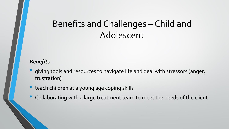# Benefits and Challenges – Child and Adolescent

#### *Benefits*

- giving tools and resources to navigate life and deal with stressors (anger, frustration)
- teach children at a young age coping skills
- Collaborating with <sup>a</sup> large treatment team to meet the needs of the client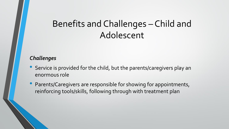# Benefits and Challenges – Child and Adolescent

#### *Challenges*

- Service is provided for the child, but the parents/caregivers play an enormous role
- Parents/Caregivers are responsible for showing for appointments, reinforcing tools/skills, following through with treatment plan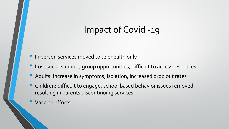### Impact of Covid -19

- In person services moved to telehealth only
- Lost social support, group opportunities, difficult to access resources
- Adults: increase in symptoms, isolation, increased drop out rates
- Children: difficult to engage, school based behavior issues removed resulting in parents discontinuing services
- Vaccine efforts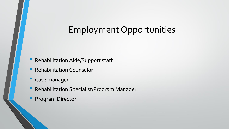- Rehabilitation Aide/Support staff
- Rehabilitation Counselor
- Case manager
- Rehabilitation Specialist/Program Manager
- Program Director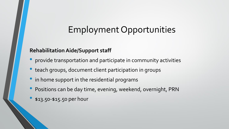#### **Rehabilitation Aide/Support staff**

- provide transportation and participate in community activities
- teach groups, document client participation in groups
- in home support in the residential programs
- Positions can be day time, evening, weekend, overnight, PRN
- \$13.50-\$15.50 per hour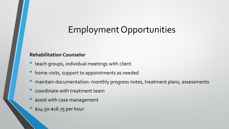#### **Rehabilitation Counselor**

- teach groups, individual meetings with client
- home visits, support to appointments as needed
- maintain documentation: monthly progress notes, treatment plans, assessments
- coordinate with treatment team
- assist with case management
- \$14.50-\$16.75 per hour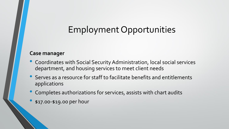#### **Case manager**

- Coordinates with Social Security Administration, local social services department, and housing services to meet client needs
- Serves as <sup>a</sup> resource for staff to facilitate benefits and entitlements applications
- Completes authorizations for services, assists with chart audits
- \$17.00-\$19.00 per hour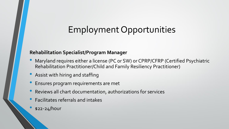#### **Rehabilitation Specialist/Program Manager**

- Maryland requires either a license (PC or SW) or CPRP/CFRP (Certified Psychiatric Rehabilitation Practitioner/Child and Family Resiliency Practitioner)
- Assist with hiring and staffing
- Ensures program requirements are met
- Reviews all chart documentation, authorizations for services
- Facilitates referrals and intakes
- $$22-24/h$ our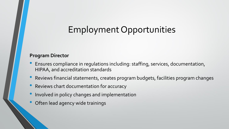#### **Program Director**

- Ensures compliance in regulations including: staffing, services, documentation, HIPAA, and accreditation standards
- Reviews financial statements, creates program budgets, facilities program changes
- Reviews chart documentation for accuracy
- Involved in policy changes and implementation
- Often lead agency wide trainings